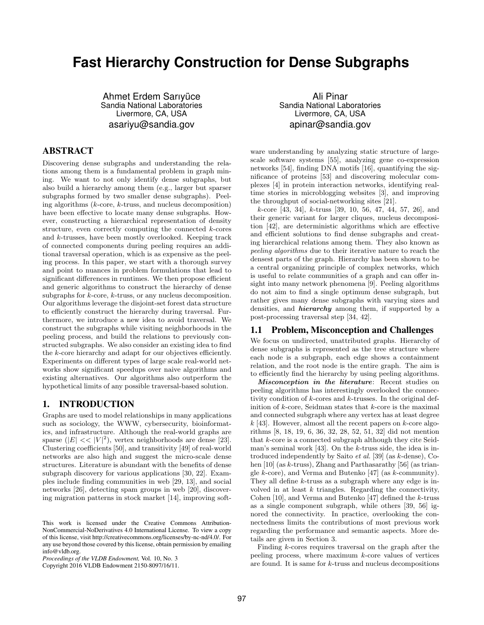# **Fast Hierarchy Construction for Dense Subgraphs**

Ahmet Erdem Sarıyüce Sandia National Laboratories Livermore, CA, USA asariyu@sandia.gov

# ABSTRACT

Discovering dense subgraphs and understanding the relations among them is a fundamental problem in graph mining. We want to not only identify dense subgraphs, but also build a hierarchy among them (e.g., larger but sparser subgraphs formed by two smaller dense subgraphs). Peeling algorithms  $(k\text{-core}, k\text{-truss}, \text{and nucleus decomposition})$ have been effective to locate many dense subgraphs. However, constructing a hierarchical representation of density structure, even correctly computing the connected  $k$ -cores and k-trusses, have been mostly overlooked. Keeping track of connected components during peeling requires an additional traversal operation, which is as expensive as the peeling process. In this paper, we start with a thorough survey and point to nuances in problem formulations that lead to significant differences in runtimes. We then propose efficient and generic algorithms to construct the hierarchy of dense subgraphs for k-core, k-truss, or any nucleus decomposition. Our algorithms leverage the disjoint-set forest data structure to efficiently construct the hierarchy during traversal. Furthermore, we introduce a new idea to avoid traversal. We construct the subgraphs while visiting neighborhoods in the peeling process, and build the relations to previously constructed subgraphs. We also consider an existing idea to find the k-core hierarchy and adapt for our objectives efficiently. Experiments on different types of large scale real-world networks show significant speedups over naive algorithms and existing alternatives. Our algorithms also outperform the hypothetical limits of any possible traversal-based solution.

## 1. INTRODUCTION

Graphs are used to model relationships in many applications such as sociology, the WWW, cybersecurity, bioinformatics, and infrastructure. Although the real-world graphs are sparse  $(|E| << |V|^2)$ , vertex neighborhoods are dense [23]. Clustering coefficients [50], and transitivity [49] of real-world networks are also high and suggest the micro-scale dense structures. Literature is abundant with the benefits of dense subgraph discovery for various applications [30, 22]. Examples include finding communities in web [29, 13], and social networks [26], detecting spam groups in web [20], discovering migration patterns in stock market [14], improving soft-

Ali Pinar Sandia National Laboratories Livermore, CA, USA apinar@sandia.gov

ware understanding by analyzing static structure of largescale software systems [55], analyzing gene co-expression networks [54], finding DNA motifs [16], quantifying the significance of proteins [53] and discovering molecular complexes [4] in protein interaction networks, identifying realtime stories in microblogging websites [3], and improving the throughput of social-networking sites [21].

k-core [43, 34], k-truss [39, 10, 56, 47, 44, 57, 26], and their generic variant for larger cliques, nucleus decomposition [42], are deterministic algorithms which are effective and efficient solutions to find dense subgraphs and creating hierarchical relations among them. They also known as peeling algorithms due to their iterative nature to reach the densest parts of the graph. Hierarchy has been shown to be a central organizing principle of complex networks, which is useful to relate communities of a graph and can offer insight into many network phenomena [9]. Peeling algorithms do not aim to find a single optimum dense subgraph, but rather gives many dense subgraphs with varying sizes and densities, and *hierarchy* among them, if supported by a post-processing traversal step [34, 42].

#### 1.1 Problem, Misconception and Challenges

We focus on undirected, unattributed graphs. Hierarchy of dense subgraphs is represented as the tree structure where each node is a subgraph, each edge shows a containment relation, and the root node is the entire graph. The aim is to efficiently find the hierarchy by using peeling algorithms.

Misconception in the literature: Recent studies on peeling algorithms has interestingly overlooked the connectivity condition of k-cores and k-trusses. In the original definition of k-core, Seidman states that k-core is the maximal and connected subgraph where any vertex has at least degree  $k$  [43]. However, almost all the recent papers on k-core algorithms [8, 18, 19, 6, 36, 32, 28, 52, 51, 32] did not mention that k-core is a connected subgraph although they cite Seidman's seminal work [43]. On the k-truss side, the idea is introduced independently by Saito et al. [39] (as k-dense), Cohen [10] (as k-truss), Zhang and Parthasarathy [56] (as triangle k-core), and Verma and Butenko [47] (as k-community). They all define k-truss as a subgraph where any edge is involved in at least  $k$  triangles. Regarding the connectivity, Cohen [10], and Verma and Butenko [47] defined the k-truss as a single component subgraph, while others [39, 56] ignored the connectivity. In practice, overlooking the connectedness limits the contributions of most previous work regarding the performance and semantic aspects. More details are given in Section 3.

Finding k-cores requires traversal on the graph after the peeling process, where maximum  $k$ -core values of vertices are found. It is same for k-truss and nucleus decompositions

This work is licensed under the Creative Commons Attribution-NonCommercial-NoDerivatives 4.0 International License. To view a copy of this license, visit http://creativecommons.org/licenses/by-nc-nd/4.0/. For any use beyond those covered by this license, obtain permission by emailing info@vldb.org.

*Proceedings of the VLDB Endowment,* Vol. 10, No. 3

Copyright 2016 VLDB Endowment 2150-8097/16/11.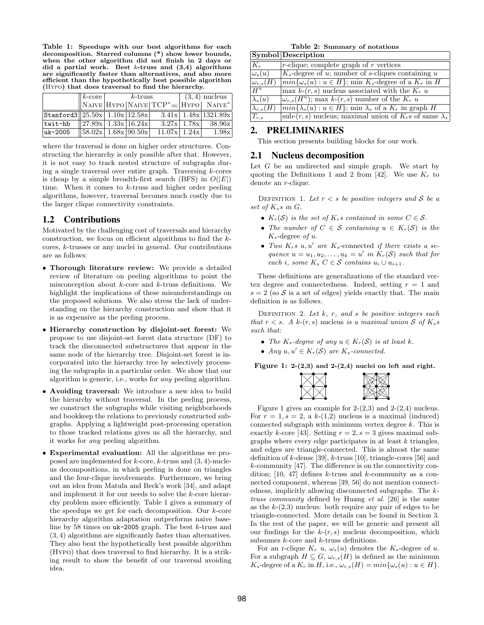Table 1: Speedups with our best algorithms for each decomposition. Starred columns (\*) show lower bounds, when the other algorithm did not finish in 2 days or did a partial work. Best  $k$ -truss and  $(3,4)$  algorithms are significantly faster than alternatives, and also more efficient than the hypothetically best possible algorithm (Hypo) that does traversal to find the hierarchy.

|                                       | $ k\text{-core} $           | $k$ -truss |                                                                                         | $(3,4)$ nucleus |                        |
|---------------------------------------|-----------------------------|------------|-----------------------------------------------------------------------------------------|-----------------|------------------------|
|                                       |                             |            | $\ $ NAIVE $ $ HYPO $ $ NAIVE $ $ TCP <sup>*</sup> [26] $ $ HYPO $ $ NAIVE <sup>*</sup> |                 |                        |
| Stanford3 $  25.50x  1.10x  12.58x  $ |                             |            |                                                                                         |                 | $3.41x$ 1.48x 1321.89x |
| twit-hb                               | $\ 27.89x\ 1.33x\ 16.24x\ $ |            |                                                                                         | $3.27x$   1.78x | 38.96x                 |
| uk-2005                               | 58.02x  1.68x 90.50x        |            | $11.07x$ 1.24x                                                                          |                 | 1.98x                  |

where the traversal is done on higher order structures. Constructing the hierarchy is only possible after that. However, it is not easy to track nested structure of subgraphs during a single traversal over entire graph. Traversing k-cores is cheap by a simple breadth-first search (BFS) in  $O(|E|)$ time. When it comes to k-truss and higher order peeling algorithms, however, traversal becomes much costly due to the larger clique connectivity constraints.

## 1.2 Contributions

Motivated by the challenging cost of traversals and hierarchy construction, we focus on efficient algorithms to find the kcores, k-trusses or any nuclei in general. Our contributions are as follows:

- Thorough literature review: We provide a detailed review of literature on peeling algorithms to point the misconception about  $k$ -core and  $k$ -truss definitions. We highlight the implications of these misunderstandings on the proposed solutions. We also stress the lack of understanding on the hierarchy construction and show that it is as expensive as the peeling process.
- Hierarchy construction by disjoint-set forest: We propose to use disjoint-set forest data structure (DF) to track the disconnected substructures that appear in the same node of the hierarchy tree. Disjoint-set forest is incorporated into the hierarchy tree by selectively processing the subgraphs in a particular order. We show that our algorithm is generic, i.e., works for any peeling algorithm.
- Avoiding traversal: We introduce a new idea to build the hierarchy without traversal. In the peeling process, we construct the subgraphs while visiting neighborhoods and bookkeep the relations to previously constructed subgraphs. Applying a lightweight post-processing operation to those tracked relations gives us all the hierarchy, and it works for any peeling algorithm.
- Experimental evaluation: All the algorithms we proposed are implemented for  $k$ -core,  $k$ -truss and  $(3, 4)$ -nucleus decompositions, in which peeling is done on triangles and the four-clique involvements. Furthermore, we bring out an idea from Matula and Beck's work [34], and adapt and implement it for our needs to solve the k-core hierarchy problem more efficiently. Table 1 gives a summary of the speedups we get for each decomposition. Our  $k$ -core hierarchy algorithm adaptation outperforms naive baseline by 58 times on uk-2005 graph. The best k-truss and (3, 4) algorithms are significantly faster than alternatives. They also beat the hypothetically best possible algorithm (Hypo) that does traversal to find hierarchy. It is a striking result to show the benefit of our traversal avoiding idea.

Table 2: Summary of notations

|                           | $ {\rm Symbol} $ Description                                           |
|---------------------------|------------------------------------------------------------------------|
| $ K_r $                   | $r$ -clique; complete graph of $r$ vertices                            |
| $\omega_{s}(u)$           | $ K_s$ -degree of u; number of s-cliques containing u                  |
| $ \omega_{r,s}(\bar{H}) $ | $min{\{\omega_s(u):u\in H\}}$ ; min $K_s$ -degree of a $K_r$ in H      |
| $H^u$                     | max $k(r, s)$ nucleus associated with the $K_r u$                      |
| $\lambda_s(u)$            | $\omega_{r,s}(H^u)$ ; max k-(r, s) number of the $K_r$ u               |
| $ \lambda_{r,s}(H) $      | $min{\{\lambda_s(u):u\in H\}}$ ; min $\lambda_s$ of a $K_r$ in graph H |
| $ T_{r,s} $               | sub- $(r, s)$ nucleus; maximal union of $K_r$ s of same $\lambda_s$    |

# 2. PRELIMINARIES

This section presents building blocks for our work.

#### 2.1 Nucleus decomposition

Let  $G$  be an undirected and simple graph. We start by quoting the Definitions 1 and 2 from [42]. We use  $K_r$  to denote an r-clique.

DEFINITION 1. Let  $r < s$  be positive integers and S be a set of  $K_s$ s in  $G$ .

- $K_r(\mathcal{S})$  is the set of  $K_r s$  contained in some  $C \in \mathcal{S}$ .
- The number of  $C \in \mathcal{S}$  containing  $u \in K_r(\mathcal{S})$  is the  $K_s$ -degree of u.
- Two  $K_r s u, u'$  are  $K_s$ -connected if there exists a sequence  $u = u_1, u_2, \ldots, u_k = u'$  in  $K_r(\mathcal{S})$  such that for each i, some  $K_s$  C  $\in$  S contains  $u_i \cup u_{i+1}$ .

These definitions are generalizations of the standard vertex degree and connectedness. Indeed, setting  $r = 1$  and  $s = 2$  (so S is a set of edges) yields exactly that. The main definition is as follows.

DEFINITION 2. Let  $k$ ,  $r$ , and  $s$  be positive integers such that  $r < s$ . A k- $(r, s)$  nucleus is a maximal union S of  $K_s s$ such that:

- The  $K_s$ -degree of any  $u \in K_r(\mathcal{S})$  is at least k.
- Any  $u, u' \in K_r(\mathcal{S})$  are  $K_s$ -connected.

Figure 1: 2-(2,3) and 2-(2,4) nuclei on left and right.



Figure 1 gives an example for  $2-(2,3)$  and  $2-(2,4)$  nucleus. For  $r = 1, s = 2, a k-(1,2)$  nucleus is a maximal (induced) connected subgraph with minimum vertex degree  $k$ . This is exactly k-core [43]. Setting  $r = 2$ ,  $s = 3$  gives maximal subgraphs where every edge participates in at least  $k$  triangles, and edges are triangle-connected. This is almost the same definition of k-dense [39], k-truss [10], triangle-cores [56] and k-community [47]. The difference is on the connectivity condition; [10, 47] defines  $k$ -truss and  $k$ -community as a connected component, whereas [39, 56] do not mention connectedness, implicitly allowing disconnected subgraphs. The ktruss community defined by Huang et al. [26] is the same as the  $k-(2,3)$  nucleus: both require any pair of edges to be triangle-connected. More details can be found in Section 3. In the rest of the paper, we will be generic and present all our findings for the  $k-(r, s)$  nucleus decomposition, which subsumes k-core and k-truss definitions.

For an r-clique  $K_r$  u,  $\omega_s(u)$  denotes the  $K_s$ -degree of u. For a subgraph  $H \subseteq G$ ,  $\omega_{r,s}(H)$  is defined as the minimum  $K_s$ -degree of a  $K_r$  in H, i.e.,  $\omega_{r,s}(H) = min{\omega_s(u) : u \in H}.$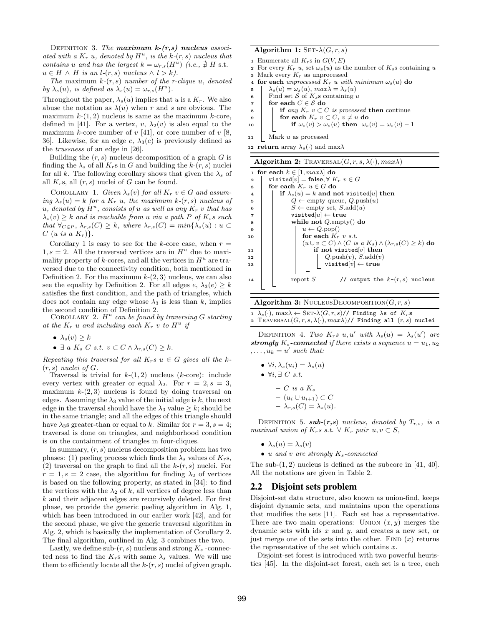DEFINITION 3. The maximum  $k-(r,s)$  nucleus associated with a  $K_r$  u, denoted by  $H^u$ , is the k- $(r, s)$  nucleus that contains u and has the largest  $k = \omega_{r,s}(H^u)$  (i.e.,  $\# H$  s.t.  $u \in H \wedge H$  is an  $l$ - $(r, s)$  nucleus  $\wedge l > k$ ).

The maximum  $k(r, s)$  number of the r-clique u, denoted by  $\lambda_s(u)$ , is defined as  $\lambda_s(u) = \omega_{r,s}(H^u)$ .

Throughout the paper,  $\lambda_s(u)$  implies that u is a  $K_r$ . We also abuse the notation as  $\lambda(u)$  when r and s are obvious. The maximum  $k-(1, 2)$  nucleus is same as the maximum k-core, defined in [41]. For a vertex,  $v, \lambda_2(v)$  is also equal to the maximum k-core number of  $v$  [41], or core number of  $v$  [8, 36. Likewise, for an edge e,  $\lambda_3(e)$  is previously defined as the trussness of an edge in [26].

Building the  $(r, s)$  nucleus decomposition of a graph G is finding the  $\lambda_s$  of all  $K_r$ s in G and building the  $k_r(r, s)$  nuclei for all k. The following corollary shows that given the  $\lambda_s$  of all  $K_r$ s, all  $(r, s)$  nuclei of G can be found.

COROLLARY 1. Given  $\lambda_s(v)$  for all  $K_r$   $v \in G$  and assuming  $\lambda_s(u) = k$  for a  $K_r$  u, the maximum k-(r, s) nucleus of u, denoted by  $H^u$ , consists of u as well as any  $K_r$  v that has  $\lambda_s(v) \geq k$  and is reachable from u via a path P of K<sub>s</sub>s such that  $\forall_{C \in P}$ ,  $\lambda_{r,s}(C) \geq k$ , where  $\lambda_{r,s}(C) = min\{\lambda_s(u) : u \subset$  $C$  (u is a  $K_r$ ).

Corollary 1 is easy to see for the k-core case, when  $r =$  $1, s = 2$ . All the traversed vertices are in  $H^u$  due to maximality property of  $k$ -cores, and all the vertices in  $H^u$  are traversed due to the connectivity condition, both mentioned in Definition 2. For the maximum  $k-(2, 3)$  nucleus, we can also see the equality by Definition 2. For all edges  $e, \lambda_3(e) \geq k$ satisfies the first condition, and the path of triangles, which does not contain any edge whose  $\lambda_3$  is less than k, implies the second condition of Definition 2.

COROLLARY 2.  $H^u$  can be found by traversing G starting at the  $K_r$  u and including each  $K_r$  v to  $H^u$  if

- $\lambda_s(v) \geq k$
- $\exists a K_s C s.t. v \subset C \wedge \lambda_{r,s}(C) \geq k.$

Repeating this traversal for all  $K_r s u \in G$  gives all the k- $(r, s)$  nuclei of  $G$ .

Traversal is trivial for  $k-(1, 2)$  nucleus ( $k$ -core): include every vertex with greater or equal  $\lambda_2$ . For  $r = 2, s = 3$ , maximum  $k-(2,3)$  nucleus is found by doing traversal on edges. Assuming the  $\lambda_3$  value of the initial edge is k, the next edge in the traversal should have the  $\lambda_3$  value  $\geq k$ ; should be in the same triangle; and all the edges of this triangle should have  $\lambda_3$ s greater-than or equal to k. Similar for  $r = 3$ ,  $s = 4$ ; traversal is done on triangles, and neighborhood condition is on the containment of triangles in four-cliques.

In summary,  $(r, s)$  nucleus decomposition problem has two phases: (1) peeling process which finds the  $\lambda_s$  values of  $K_r$ s,  $(2)$  traversal on the graph to find all the  $k-(r, s)$  nuclei. For  $r = 1, s = 2$  case, the algorithm for finding  $\lambda_2$  of vertices is based on the following property, as stated in [34]: to find the vertices with the  $\lambda_2$  of k, all vertices of degree less than k and their adjacent edges are recursively deleted. For first phase, we provide the generic peeling algorithm in Alg. 1, which has been introduced in our earlier work [42], and for the second phase, we give the generic traversal algorithm in Alg. 2, which is basically the implementation of Corollary 2. The final algorithm, outlined in Alg. 3 combines the two.

Lastly, we define sub- $(r, s)$  nucleus and strong  $K_s$ -connected ness to find the  $K_r$ s with same  $\lambda_s$  values. We will use them to efficiently locate all the  $k-(r, s)$  nuclei of given graph.

|  | Algorithm 1: SET- $\lambda(G,r,s)$ |
|--|------------------------------------|
|--|------------------------------------|

- 1 Enumerate all  $K_r$ s in  $G(V, E)$
- 2 For every  $K_r u$ , set  $\omega_s(u)$  as the number of  $K_s s$  containing u 3 Mark every  $K_r$  as unprocessed

- 4 for each unprocessed  $K_r$  u with minimum  $\omega_s(u)$  do<br>5  $\lambda_s(u) = \omega_s(u)$ , max $\lambda = \lambda_s(u)$  $\lambda_s(u) = \omega_s(u), \, max \lambda = \lambda_s(u)$
- 6 Find set S of  $K_s$ s containing u
- $\tau$  for each  $C \in \mathcal{S}$  do
- 8 if any  $K_r$  v  $\subset C$  is processed then continue
- 9 for each  $K_r$   $v \subset C$ ,  $v \neq u$  do
- 10 if  $\omega_s(v) > \omega_s(u)$  then  $\omega_s(v) = \omega_s(v) 1$
- <sup>11</sup> Mark u as processed

12 return array  $\lambda_s(\cdot)$  and max $\lambda$ 

| <b>Algorithm 2:</b> TRAVERSAL $(G, r, s, \lambda(\cdot), max\lambda)$                                                                  |
|----------------------------------------------------------------------------------------------------------------------------------------|
| 1 for each $k \in [1, max \lambda]$ do                                                                                                 |
| visited $[v]$ = false, $\forall$ $K_r$ $v \in G$<br>$\mathbf{2}$                                                                       |
| for each $K_r$ $u \in G$ do<br>3                                                                                                       |
| if $\lambda_s(u) = k$ and not visited u then<br>4                                                                                      |
| $Q \leftarrow \text{empty queue}, Q.\text{push}(u)$<br>5                                                                               |
| $S \leftarrow \text{empty set}, S \text{.} \text{add}(u)$<br>6                                                                         |
| visited $[u] \leftarrow$ true<br>7                                                                                                     |
| while not $Q$ empty() do<br>8                                                                                                          |
| $u \leftarrow Q.pop()$<br>9                                                                                                            |
| for each $K_r$ v s.t.<br>10                                                                                                            |
| $(u \cup v \subset C) \wedge (C \text{ is a } K_s) \wedge (\lambda_{r,s}(C) \geq k)$ do                                                |
| if not visited $[v]$ then<br>11                                                                                                        |
| $\begin{array}{ c c } \hline Q.\text{push}(v),\,S.\text{add}(v) \ \hline \text{visited}[v] \leftarrow \textbf{true} \end{array}$<br>12 |
| 13                                                                                                                                     |
|                                                                                                                                        |
| // output the $k-(r, s)$ nucleus<br>report $S$<br>14                                                                                   |
|                                                                                                                                        |
|                                                                                                                                        |

|  | Algorithm 3: NUCLEUSDECOMPOSITION $(G, r, s)$ |  |
|--|-----------------------------------------------|--|
|  |                                               |  |

| $1 \lambda_s(\cdot)$ , max $\lambda \leftarrow \text{SET-}\lambda(G,r,s)/\lambda$ Finding $\lambda$ s of $K_r$ s |  |
|------------------------------------------------------------------------------------------------------------------|--|
| 2 TRAVERSAL $(G, r, s, \lambda(\cdot), max\lambda)/\prime$ Finding all $(r, s)$ nuclei                           |  |

DEFINITION 4. Two  $K_r s u, u'$  with  $\lambda_s(u) = \lambda_s(u')$  are strongly  $K_s$ -connected if there exists a sequence  $u = u_1, u_2$  $, \ldots, u_k = u'$  such that:

- $\forall i, \lambda_s(u_i) = \lambda_s(u)$
- $\forall i, \exists C \ s.t.$ 
	- $\cal C$  is a  $K_s$ – (u<sup>i</sup> ∪ ui+1) ⊂ C
	- $-\lambda_{r,s}(C)=\lambda_s(u).$

DEFINITION 5. sub- $(r,s)$  nucleus, denoted by  $T_{r,s}$ , is a maximal union of  $K_r s$  s.t.  $\forall K_r$  pair  $u, v \subset S$ ,

- $\lambda_s(u) = \lambda_s(v)$
- u and v are strongly  $K_s$ -connected

The sub- $(1, 2)$  nucleus is defined as the subcore in [41, 40]. All the notations are given in Table 2.

#### 2.2 Disjoint sets problem

Disjoint-set data structure, also known as union-find, keeps disjoint dynamic sets, and maintains upon the operations that modifies the sets [11]. Each set has a representative. There are two main operations: UNION  $(x, y)$  merges the dynamic sets with ids  $x$  and  $y$ , and creates a new set, or just merge one of the sets into the other. FIND  $(x)$  returns the representative of the set which contains  $x$ .

Disjoint-set forest is introduced with two powerful heuristics [45]. In the disjoint-set forest, each set is a tree, each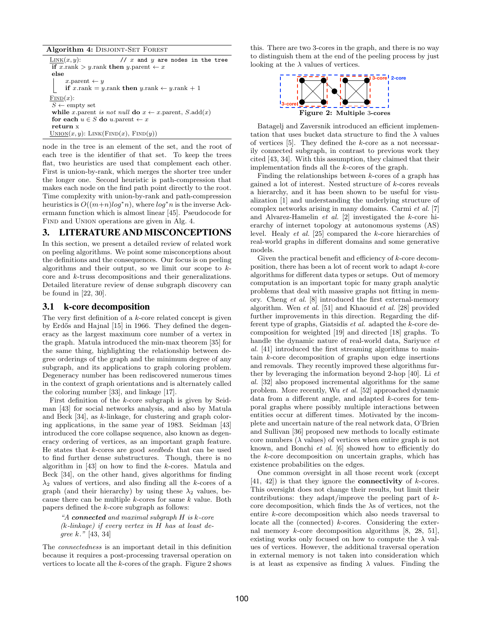Algorithm 4: DISJOINT-SET FOREST

 $\underline{\text{LINK}}(x, y)$ : // x and y are nodes in the tree if  $x.\text{rank} > y.\text{rank}$  then  $y.\text{parent} \leftarrow x$ else  $x$ .parent  $\leftarrow$  y if  $x.\text{rank} = y.\text{rank}$  then  $y.\text{rank} \leftarrow y.\text{rank} + 1$  $FIND(x):$  $S \leftarrow$  empty set while x.parent is not null do  $x \leftarrow x$ .parent,  $S$ .add(x) for each  $u \in S$  do u.parent  $\leftarrow x$ return x  $\text{UNION}(x, y)$ : LINK(FIND(x), FIND(y))

node in the tree is an element of the set, and the root of each tree is the identifier of that set. To keep the trees flat, two heuristics are used that complement each other. First is union-by-rank, which merges the shorter tree under the longer one. Second heuristic is path-compression that makes each node on the find path point directly to the root. Time complexity with union-by-rank and path-compression heuristics is  $O((m+n)log^*n)$ , where  $log^*n$  is the inverse Ackermann function which is almost linear [45]. Pseudocode for FIND and UNION operations are given in Alg. 4.

#### 3. LITERATURE AND MISCONCEPTIONS

In this section, we present a detailed review of related work on peeling algorithms. We point some misconceptions about the definitions and the consequences. Our focus is on peeling algorithms and their output, so we limit our scope to  $k$ core and k-truss decompositions and their generalizations. Detailed literature review of dense subgraph discovery can be found in [22, 30].

### 3.1 k-core decomposition

The very first definition of a k-core related concept is given by Erdős and Hajnal [15] in 1966. They defined the degeneracy as the largest maximum core number of a vertex in the graph. Matula introduced the min-max theorem [35] for the same thing, highlighting the relationship between degree orderings of the graph and the minimum degree of any subgraph, and its applications to graph coloring problem. Degeneracy number has been rediscovered numerous times in the context of graph orientations and is alternately called the coloring number [33], and linkage [17].

First definition of the k-core subgraph is given by Seidman [43] for social networks analysis, and also by Matula and Beck [34], as k-linkage, for clustering and graph coloring applications, in the same year of 1983. Seidman [43] introduced the core collapse sequence, also known as degeneracy ordering of vertices, as an important graph feature. He states that k-cores are good seedbeds that can be used to find further dense substructures. Though, there is no algorithm in [43] on how to find the k-cores. Matula and Beck [34], on the other hand, gives algorithms for finding  $\lambda_2$  values of vertices, and also finding all the k-cores of a graph (and their hierarchy) by using these  $\lambda_2$  values, because there can be multiple  $k$ -cores for same  $k$  value. Both papers defined the k-core subgraph as follows:

"A connected and maximal subgraph  $H$  is  $k$ -core (k-linkage) if every vertex in H has at least degree k." [43, 34]

The connectedness is an important detail in this definition because it requires a post-processing traversal operation on vertices to locate all the  $k$ -cores of the graph. Figure 2 shows this. There are two 3-cores in the graph, and there is no way to distinguish them at the end of the peeling process by just looking at the  $\lambda$  values of vertices.



Batagelj and Zaversnik introduced an efficient implementation that uses bucket data structure to find the  $\lambda$  values of vertices  $[5]$ . They defined the  $k$ -core as a not necessarily connected subgraph, in contrast to previous work they cited [43, 34]. With this assumption, they claimed that their implementation finds all the  $k$ -cores of the graph.

Finding the relationships between k-cores of a graph has gained a lot of interest. Nested structure of k-cores reveals a hierarchy, and it has been shown to be useful for visualization [1] and understanding the underlying structure of complex networks arising in many domains. Carmi et al. [7] and Alvarez-Hamelin et al. [2] investigated the k-core hierarchy of internet topology at autonomous systems (AS) level. Healy et al. [25] compared the k-core hierarchies of real-world graphs in different domains and some generative models.

Given the practical benefit and efficiency of k-core decomposition, there has been a lot of recent work to adapt k-core algorithms for different data types or setups. Out of memory computation is an important topic for many graph analytic problems that deal with massive graphs not fitting in memory. Cheng et al. [8] introduced the first external-memory algorithm. Wen et al. [51] and Khaouid et al. [28] provided further improvements in this direction. Regarding the different type of graphs, Giatsidis et al. adapted the k-core decomposition for weighted [19] and directed [18] graphs. To handle the dynamic nature of real-world data, Sariyuce et al. [41] introduced the first streaming algorithms to maintain k-core decomposition of graphs upon edge insertions and removals. They recently improved these algorithms further by leveraging the information beyond 2-hop [40]. Li et al. [32] also proposed incremental algorithms for the same problem. More recently, Wu et al. [52] approached dynamic data from a different angle, and adapted k-cores for temporal graphs where possibly multiple interactions between entities occur at different times. Motivated by the incomplete and uncertain nature of the real network data, O'Brien and Sullivan [36] proposed new methods to locally estimate core numbers  $(\lambda$  values) of vertices when entire graph is not known, and Bonchi et al. [6] showed how to efficiently do the k-core decomposition on uncertain graphs, which has existence probabilities on the edges.

One common oversight in all those recent work (except  $[41, 42]$ ) is that they ignore the **connectivity** of *k*-cores. This oversight does not change their results, but limit their contributions: they adapt/improve the peeling part of  $k$ core decomposition, which finds the  $\lambda$ s of vertices, not the entire k-core decomposition which also needs traversal to locate all the (connected) k-cores. Considering the external memory  $k$ -core decomposition algorithms [8, 28, 51], existing works only focused on how to compute the  $\lambda$  values of vertices. However, the additional traversal operation in external memory is not taken into consideration which is at least as expensive as finding  $\lambda$  values. Finding the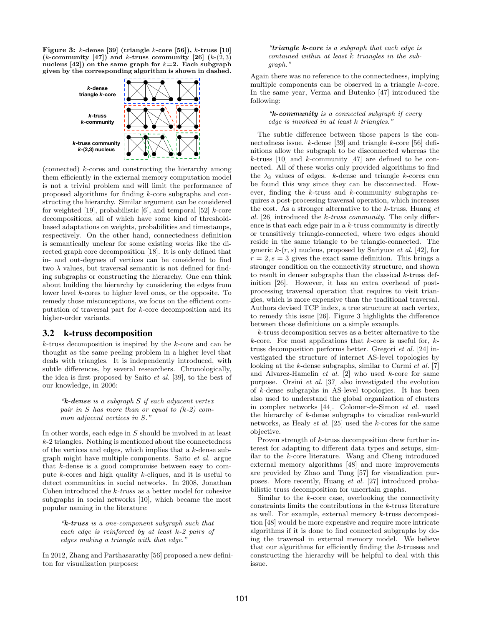Figure 3:  $k$ -dense [39] (triangle  $k$ -core [56]),  $k$ -truss [10] (*k*-community [47]) and *k*-truss community [26]  $(k-(2,3))$ nucleus  $[42]$ ) on the same graph for  $k=2$ . Each subgraph given by the corresponding algorithm is shown in dashed.



(connected) k-cores and constructing the hierarchy among them efficiently in the external memory computation model is not a trivial problem and will limit the performance of proposed algorithms for finding k-core subgraphs and constructing the hierarchy. Similar argument can be considered for weighted [19], probabilistic [6], and temporal [52]  $k$ -core decompositions, all of which have some kind of thresholdbased adaptations on weights, probabilities and timestamps, respectively. On the other hand, connectedness definition is semantically unclear for some existing works like the directed graph core decomposition [18]. It is only defined that in- and out-degrees of vertices can be considered to find two  $\lambda$  values, but traversal semantic is not defined for finding subgraphs or constructing the hierarchy. One can think about building the hierarchy by considering the edges from lower level k-cores to higher level ones, or the opposite. To remedy those misconceptions, we focus on the efficient computation of traversal part for k-core decomposition and its higher-order variants.

#### 3.2 k-truss decomposition

 $k$ -truss decomposition is inspired by the  $k$ -core and can be thought as the same peeling problem in a higher level that deals with triangles. It is independently introduced, with subtle differences, by several researchers. Chronologically, the idea is first proposed by Saito et al. [39], to the best of our knowledge, in 2006:

 $\kappa$ -dense is a subgraph S if each adjacent vertex pair in S has more than or equal to  $(k-2)$  common adjacent vertices in S."

In other words, each edge in S should be involved in at least k-2 triangles. Nothing is mentioned about the connectedness of the vertices and edges, which implies that a k-dense subgraph might have multiple components. Saito et al. argue that k-dense is a good compromise between easy to compute k-cores and high quality k-cliques, and it is useful to detect communities in social networks. In 2008, Jonathan Cohen introduced the k-truss as a better model for cohesive subgraphs in social networks [10], which became the most popular naming in the literature:

"k-truss is a one-component subgraph such that each edge is reinforced by at least k-2 pairs of edges making a triangle with that edge."

In 2012, Zhang and Parthasarathy [56] proposed a new definiton for visualization purposes:

"triangle  $k$ -core is a subgraph that each edge is contained within at least k triangles in the subgraph."

Again there was no reference to the connectedness, implying multiple components can be observed in a triangle k-core. In the same year, Verma and Butenko [47] introduced the following:

#### "k-community is a connected subgraph if every edge is involved in at least k triangles."

The subtle difference between those papers is the connectedness issue. k-dense [39] and triangle k-core [56] definitions allow the subgraph to be disconnected whereas the  $k$ -truss [10] and  $k$ -community [47] are defined to be connected. All of these works only provided algorithms to find the  $\lambda_3$  values of edges. k-dense and triangle k-cores can be found this way since they can be disconnected. However, finding the  $k$ -truss and  $k$ -community subgraphs requires a post-processing traversal operation, which increases the cost. As a stronger alternative to the  $k$ -truss, Huang  $et$ al. [26] introduced the  $k$ -truss community. The only difference is that each edge pair in a  $k$ -truss community is directly or transitively triangle-connected, where two edges should reside in the same triangle to be triangle-connected. The generic  $k(r, s)$  nucleus, proposed by Sariyuce *et al.* [42], for  $r = 2$ ,  $s = 3$  gives the exact same definition. This brings a stronger condition on the connectivity structure, and shown to result in denser subgraphs than the classical  $k$ -truss definition [26]. However, it has an extra overhead of postprocessing traversal operation that requires to visit triangles, which is more expensive than the traditional traversal. Authors devised TCP index, a tree structure at each vertex, to remedy this issue [26]. Figure 3 highlights the difference between those definitions on a simple example.

k-truss decomposition serves as a better alternative to the k-core. For most applications that k-core is useful for,  $k$ truss decomposition performs better. Gregori et al. [24] investigated the structure of internet AS-level topologies by looking at the k-dense subgraphs, similar to Carmi *et al.* [7] and Alvarez-Hamelin  $et$  al.  $[2]$  who used  $k$ -core for same purpose. Orsini et al. [37] also investigated the evolution of k-dense subgraphs in AS-level topologies. It has been also used to understand the global organization of clusters in complex networks [44]. Colomer-de-Simon et al. used the hierarchy of k-dense subgraphs to visualize real-world networks, as Healy et al. [25] used the k-cores for the same objective.

Proven strength of k-truss decomposition drew further interest for adapting to different data types and setups, similar to the k-core literature. Wang and Cheng introduced external memory algorithms [48] and more improvements are provided by Zhao and Tung [57] for visualization purposes. More recently, Huang et al. [27] introduced probabilistic truss decomposition for uncertain graphs.

Similar to the  $k$ -core case, overlooking the connectivity constraints limits the contributions in the k-truss literature as well. For example, external memory k-truss decomposition [48] would be more expensive and require more intricate algorithms if it is done to find connected subgraphs by doing the traversal in external memory model. We believe that our algorithms for efficiently finding the k-trusses and constructing the hierarchy will be helpful to deal with this issue.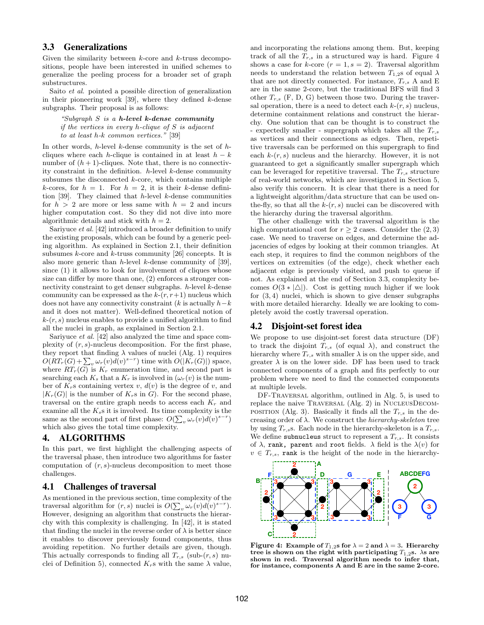## 3.3 Generalizations

Given the similarity between  $k$ -core and  $k$ -truss decompositions, people have been interested in unified schemes to generalize the peeling process for a broader set of graph substructures.

Saito et al. pointed a possible direction of generalization in their pioneering work  $[39]$ , where they defined k-dense subgraphs. Their proposal is as follows:

"Subgraph  $S$  is a h-level k-dense community" if the vertices in every  $h$ -clique of  $S$  is adjacent to at least h-k common vertices." [39]

In other words,  $h$ -level  $k$ -dense community is the set of  $h$ cliques where each h-clique is contained in at least  $h - k$ number of  $(h + 1)$ -cliques. Note that, there is no connectivity constraint in the definition.  $h$ -level  $k$ -dense community subsumes the disconnected  $k$ -core, which contains multiple k-cores, for  $h = 1$ . For  $h = 2$ , it is their k-dense definition [39]. They claimed that  $h$ -level  $k$ -dense communities for  $h > 2$  are more or less same with  $h = 2$  and incurs higher computation cost. So they did not dive into more algorithmic details and stick with  $h = 2$ .

Sariyuce et al. [42] introduced a broader definition to unify the existing proposals, which can be found by a generic peeling algorithm. As explained in Section 2.1, their definition subsumes  $k$ -core and  $k$ -truss community [26] concepts. It is also more generic than  $h$ -level  $k$ -dense community of [39], since (1) it allows to look for involvement of cliques whose size can differ by more than one, (2) enforces a stronger connectivity constraint to get denser subgraphs.  $h$ -level  $k$ -dense community can be expressed as the  $k-(r, r+1)$  nucleus which does not have any connectivity constraint ( $k$  is actually  $h-k$ and it does not matter). Well-defined theoretical notion of  $k(r, s)$  nucleus enables to provide a unified algorithm to find all the nuclei in graph, as explained in Section 2.1.

Sariyuce et al. [42] also analyzed the time and space complexity of  $(r, s)$ -nucleus decomposition. For the first phase, they report that finding  $\lambda$  values of nuclei (Alg. 1) requires  $O(RT_r(G)+\sum_{v}\omega_r(v)d(v)^{s-r})$  time with  $O(|K_r(G)|)$  space, where  $RT_r(G)$  is  $K_r$  enumeration time, and second part is searching each  $K_s$  that a  $K_r$  is involved in  $(\omega_r(v))$  is the number of  $K_r$ s containing vertex  $v, d(v)$  is the degree of  $v$ , and  $|K_r(G)|$  is the number of  $K_r$ s in G). For the second phase, traversal on the entire graph needs to access each  $K_r$  and examine all the  $K_s$ s it is involved. Its time complexity is the same as the second part of first phase:  $O(\sum_{v} \omega_r(v) d(v)^{s-r})$ which also gives the total time complexity.

#### 4. ALGORITHMS

In this part, we first highlight the challenging aspects of the traversal phase, then introduce two algorithms for faster computation of  $(r, s)$ -nucleus decomposition to meet those challenges.

#### 4.1 Challenges of traversal

As mentioned in the previous section, time complexity of the traversal algorithm for  $(r, s)$  nuclei is  $O(\sum_{v} \omega_r(v) d(v)^{s-r})$ . However, designing an algorithm that constructs the hierarchy with this complexity is challenging. In [42], it is stated that finding the nuclei in the reverse order of  $\lambda$  is better since it enables to discover previously found components, thus avoiding repetition. No further details are given, though. This actually corresponds to finding all  $T_{r,s}$  (sub- $(r, s)$ ) nuclei of Definition 5), connected  $K_r$ s with the same  $\lambda$  value, and incorporating the relations among them. But, keeping track of all the  $T_{r,s}$  in a structured way is hard. Figure 4 shows a case for k-core  $(r = 1, s = 2)$ . Traversal algorithm needs to understand the relation between  $T_{1,2}$ s of equal  $\lambda$ that are not directly connected. For instance,  $T_{r,s}$  A and E are in the same 2-core, but the traditional BFS will find 3 other  $T_{r,s}$  (F, D, G) between those two. During the traversal operation, there is a need to detect each  $k-(r, s)$  nucleus, determine containment relations and construct the hierarchy. One solution that can be thought is to construct the - expectedly smaller - supergraph which takes all the  $T_{r,s}$ as vertices and their connections as edges. Then, repetitive traversals can be performed on this supergraph to find each  $k(r, s)$  nucleus and the hierarchy. However, it is not guaranteed to get a significantly smaller supergraph which can be leveraged for repetitive traversal. The  $T_{r,s}$  structure of real-world networks, which are investigated in Section 5, also verify this concern. It is clear that there is a need for a lightweight algorithm/data structure that can be used onthe-fly, so that all the  $k-(r, s)$  nuclei can be discovered with the hierarchy during the traversal algorithm.

The other challenge with the traversal algorithm is the high computational cost for  $r \geq 2$  cases. Consider the  $(2,3)$ case. We need to traverse on edges, and determine the adjacencies of edges by looking at their common triangles. At each step, it requires to find the common neighbors of the vertices on extremities (of the edge), check whether each adjacent edge is previously visited, and push to queue if not. As explained at the end of Section 3.3, complexity becomes  $O(3 * |\Delta|)$ . Cost is getting much higher if we look for  $(3, 4)$  nuclei, which is shown to give denser subgraphs with more detailed hierarchy. Ideally we are looking to completely avoid the costly traversal operation.

#### 4.2 Disjoint-set forest idea

We propose to use disjoint-set forest data structure (DF) to track the disjoint  $T_{r,s}$  (of equal  $\lambda$ ), and construct the hierarchy where  $T_{r,s}$  with smaller  $\lambda$  is on the upper side, and greater  $\lambda$  is on the lower side. DF has been used to track connected components of a graph and fits perfectly to our problem where we need to find the connected components at multiple levels.

DF-Traversal algorithm, outlined in Alg. 5, is used to replace the naive Traversal (Alg. 2) in NucleusDecomposition (Alg. 3). Basically it finds all the  $T_{r,s}$  in the decreasing order of  $\lambda$ . We construct the *hierarchy-skeleton* tree by using  $T_{r,s}$ s. Each node in the hierarchy-skeleton is a  $T_{r,s}$ . We define subnucleus struct to represent a  $T_{r,s}$ . It consists of  $\lambda$ , rank, parent and root fields.  $\lambda$  field is the  $\lambda(v)$  for  $v \in T_{r,s}$ , rank is the height of the node in the hierarchy-



Figure 4: Example of  $T_{1,2}$ s for  $\lambda = 2$  and  $\lambda = 3$ . Hierarchy tree is shown on the right with participating  $T_{1,2}$ s.  $\lambda$ s are shown in red. Traversal algorithm needs to infer that, for instance, components A and E are in the same 2-core.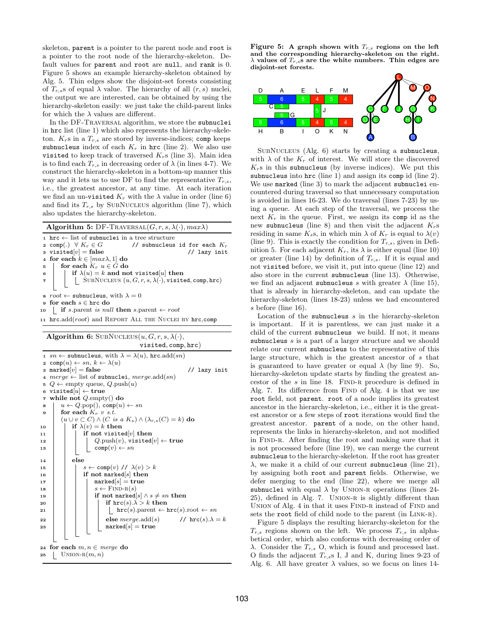skeleton, parent is a pointer to the parent node and root is a pointer to the root node of the hierarchy-skeleton. Default values for parent and root are null, and rank is 0. Figure 5 shows an example hierarchy-skeleton obtained by Alg. 5. Thin edges show the disjoint-set forests consisting of  $T_{r,s}$ s of equal  $\lambda$  value. The hierarchy of all  $(r, s)$  nuclei, the output we are interested, can be obtained by using the hierarchy-skeleton easily: we just take the child-parent links for which the  $\lambda$  values are different.

In the DF-TRAVERSAL algorithm, we store the subnuclei in hrc list (line 1) which also represents the hierarchy-skeleton.  $K_r$ s in a  $T_{r,s}$  are stored by inverse-indices; comp keeps subnucleus index of each  $K_r$  in hrc (line 2). We also use visited to keep track of traversed  $K_r$ s (line 3). Main idea is to find each  $T_{r,s}$  in decreasing order of  $\lambda$  (in lines 4-7). We construct the hierarchy-skeleton in a bottom-up manner this way and it lets us to use DF to find the representative  $T_{r,s}$ , i.e., the greatest ancestor, at any time. At each iteration we find an un-visited  $K_r$  with the  $\lambda$  value in order (line 6) and find its  $T_{r,s}$  by SUBNUCLEUS algorithm (line 7), which also updates the hierarchy-skeleton.

| <b>Algorithm 5:</b> DF-TRAVERSAL(G, r, s, $\lambda(\cdot)$ , max $\lambda$ )                                                                                                                                                                                                                                                                              |
|-----------------------------------------------------------------------------------------------------------------------------------------------------------------------------------------------------------------------------------------------------------------------------------------------------------------------------------------------------------|
| $\alpha$ ist of subnuclei in a tree structure                                                                                                                                                                                                                                                                                                             |
| 2 comp(.) $\forall K_r \in G$ // subnucleus id for each $K_r$                                                                                                                                                                                                                                                                                             |
| 3 visited $[v]$ = false<br>// lazy init                                                                                                                                                                                                                                                                                                                   |
| 4 for each $k \in [max\lambda, 1]$ do                                                                                                                                                                                                                                                                                                                     |
|                                                                                                                                                                                                                                                                                                                                                           |
|                                                                                                                                                                                                                                                                                                                                                           |
| $\begin{array}{c c} \texttt{s} & \texttt{for each} \; \overset{\sim}{K}_r \; u \in \overset{\sim}{G} \; \texttt{do} \\ \texttt{s} & \texttt{if} \; \lambda(u) = k \; \texttt{and not visited}[u] \; \texttt{then} \\ \texttt{\tau} & \texttt{\tt[] SUBNUCLEUS}\; (u, G, r, s, \lambda(\cdot), \texttt{visited}, \texttt{comp}, \texttt{hrc}) \end{array}$ |
| s root $\leftarrow$ subnucleus, with $\lambda = 0$                                                                                                                                                                                                                                                                                                        |
| $\mathfrak s$ for each $s\in\mathtt{hrc}$ do                                                                                                                                                                                                                                                                                                              |
| 10   if s.parent is null then s.parent $\leftarrow root$                                                                                                                                                                                                                                                                                                  |
| 11 $\text{hrc.add}(\text{root})$ and REPORT ALL THE NUCLEI BY $\text{hrc,comp}$                                                                                                                                                                                                                                                                           |

Algorithm 6: SUBNUCLEUS $(u, G, r, s, \lambda(\cdot)),$ 

|                    | visited, comp, hrc)                                                                                                          |
|--------------------|------------------------------------------------------------------------------------------------------------------------------|
|                    | 1 sn $\leftarrow$ subnucleus, with $\lambda = \lambda(u)$ , hrc.add(sn)                                                      |
|                    | 2 comp $(u) \leftarrow sn, k \leftarrow \lambda(u)$                                                                          |
| 3                  | $\texttt{marked}[v] = \texttt{false}$<br>// lazy init                                                                        |
| $\overline{\bf 4}$ | $merge \leftarrow$ list of subnuclei, $merge.add(sn)$                                                                        |
| 5                  | $Q \leftarrow \text{empty queue}, Q.\text{push}(u)$                                                                          |
| 6                  | visited $ u  \leftarrow$ true                                                                                                |
| $\pmb{7}$          | while not $Q$ empty() do                                                                                                     |
| 8                  | $u \leftarrow Q.\text{pop}(), \text{comp}(u) \leftarrow sn$                                                                  |
| 9                  | for each $K_r$ v s.t.                                                                                                        |
|                    | $(u \cup v \subset C) \wedge (C \text{ is a } K_s) \wedge (\lambda_{r,s}(C) = k)$ do                                         |
| 10                 | if $\lambda(v) = k$ then                                                                                                     |
| 11                 | if not visited $[v]$ then                                                                                                    |
| 12                 |                                                                                                                              |
| 13                 | $\begin{array}{l} Q.\text{push}(v), \text{visited}[v] \leftarrow \texttt{true}\\ \texttt{comp}(v) \leftarrow sn \end{array}$ |
|                    | else                                                                                                                         |
| 14                 | $s \leftarrow \text{comp}(v)$ // $\lambda(v) > k$                                                                            |
| 15                 | if not marked $ s $ then                                                                                                     |
| 16                 | $\texttt{marked} s  = \texttt{true}$                                                                                         |
| 17                 | $s \leftarrow$ FIND-R(s)                                                                                                     |
| 18                 | if not marked $s \mid \wedge s \neq sn$ then                                                                                 |
| 19                 | if $\text{hrc}(s) \cdot \lambda > k$ then                                                                                    |
| 20                 | $\text{hrc}(s)$ .parent $\leftarrow$ $\text{hrc}(s)$ .root $\leftarrow$ sn                                                   |
| 21                 |                                                                                                                              |
| 22                 | else $merge.add(s)$ // $\text{hrc}(s) \lambda = k$                                                                           |
| 23                 | $\texttt{marked}[s] = \textbf{true}$                                                                                         |
|                    |                                                                                                                              |
|                    | 24 for each $m, n \in m$ erge do                                                                                             |
| 25                 | UNION-R $(m, n)$                                                                                                             |
|                    |                                                                                                                              |

Figure 5: A graph shown with  $T_{r,s}$  regions on the left and the corresponding hierarchy-skeleton on the right.  $\lambda$  values of  $T_{r,s}$ s are the white numbers. Thin edges are disjoint-set forests.



SubNucleus (Alg. 6) starts by creating a subnucleus, with  $\lambda$  of the  $K_r$  of interest. We will store the discovered  $K_r$ s in this subnucleus (by inverse indices). We put this subnucleus into hrc (line 1) and assign its comp id (line 2). We use marked (line 3) to mark the adjacent subnuclei encountered during traversal so that unnecessary computation is avoided in lines 16-23. We do traversal (lines 7-23) by using a queue. At each step of the traversal, we process the next  $K_r$  in the queue. First, we assign its comp id as the new subnucleus (line 8) and then visit the adjacent  $K_r$ s residing in same  $K_s$ s, in which min  $\lambda$  of  $K_r$  is equal to  $\lambda(v)$ (line 9). This is exactly the condition for  $T_{r,s}$ , given in Definition 5. For each adjacent  $K_r$ , its  $\lambda$  is either equal (line 10) or greater (line 14) by definition of  $T_{r,s}$ . If it is equal and not visited before, we visit it, put into queue (line 12) and also store in the current subnucleus (line 13). Otherwise, we find an adjacent subnucleus s with greater  $\lambda$  (line 15), that is already in hierarchy-skeleton, and can update the hierarchy-skeleton (lines 18-23) unless we had encountered s before (line 16).

Location of the subnucleus  $s$  in the hierarchy-skeleton is important. If it is parentless, we can just make it a child of the current subnucleus we build. If not, it means subnucleus s is a part of a larger structure and we should relate our current subnucleus to the representative of this large structure, which is the greatest ancestor of s that is guaranteed to have greater or equal  $\lambda$  (by line 9). So, hierarchy-skeleton update starts by finding the greatest ancestor of the  $s$  in line 18. FIND-R procedure is defined in Alg. 7. Its difference from FIND of Alg. 4 is that we use root field, not parent. root of a node implies its greatest ancestor in the hierarchy-skeleton, i.e., either it is the greatest ancestor or a few steps of root iterations would find the greatest ancestor. parent of a node, on the other hand, represents the links in hierarchy-skeleton, and not modified in FIND-R. After finding the root and making sure that it is not processed before (line 19), we can merge the current subnucleus to the hierarchy-skeleton. If the root has greater  $\lambda$ , we make it a child of our current subnucleus (line 21), by assigning both root and parent fields. Otherwise, we defer merging to the end (line 22), where we merge all subnuclei with equal  $\lambda$  by UNION-R operations (lines 24-25), defined in Alg. 7. UNION-R is slightly different than UNION of Alg. 4 in that it uses FIND-R instead of FIND and sets the root field of child node to the parent (in LINK-R).

Figure 5 displays the resulting hierarchy-skeleton for the  $T_{r,s}$  regions shown on the left. We process  $T_{r,s}$  in alphabetical order, which also conforms with decreasing order of λ. Consider the  $T_{r,s}$  O, which is found and processed last. O finds the adjacent  $T_{r,s}$ s I, J and K, during lines 9-23 of Alg. 6. All have greater  $\lambda$  values, so we focus on lines 14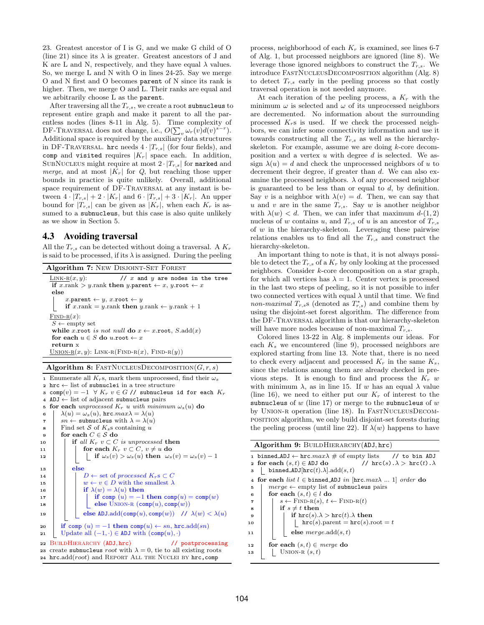23. Greatest ancestor of I is G, and we make G child of O (line 21) since its  $\lambda$  is greater. Greatest ancestors of J and K are L and N, respectively, and they have equal  $\lambda$  values. So, we merge L and N with O in lines 24-25. Say we merge O and N first and O becomes parent of N since its rank is higher. Then, we merge O and L. Their ranks are equal and we arbitrarily choose L as the parent.

After traversing all the  $T_{r,s}$ , we create a root subnucleus to represent entire graph and make it parent to all the parentless nodes (lines 8-11 in Alg. 5). Time complexity of DF-TRAVERSAL does not change, i.e.,  $O(\sum_{v} \omega_r(v) d(v)^{s-r})$ . Additional space is required by the auxiliary data structures in DF-TRAVERSAL. hrc needs  $4 \cdot |T_{r,s}|$  (for four fields), and comp and visited requires  $|K_r|$  space each. In addition, SUBNUCLEUS might require at most  $2\cdot |T_{r,s}|$  for  $\mathtt{marked}$  and *merge*, and at most  $|K_r|$  for  $Q$ , but reaching those upper bounds in practice is quite unlikely. Overall, additional space requirement of DF-Traversal at any instant is between  $4 \cdot |T_{r,s}| + 2 \cdot |K_r|$  and  $6 \cdot |T_{r,s}| + 3 \cdot |K_r|$ . An upper bound for  $|T_{r,s}|$  can be given as  $|K_r|$ , when each  $K_r$  is assumed to a subnucleus, but this case is also quite unlikely as we show in Section 5.

#### 4.3 Avoiding traversal

All the  $T_{r,s}$  can be detected without doing a traversal. A  $K_r$ is said to be processed, if its  $\lambda$  is assigned. During the peeling

| <b>Algorithm 7: NEW DISJOINT-SET FOREST</b>                                                              |
|----------------------------------------------------------------------------------------------------------|
| LINK-R $(x, y)$ :<br>// $x$ and $y$ are nodes in the tree                                                |
| if x.rank > y.rank then y.parent $\leftarrow x$ , y.root $\leftarrow x$                                  |
| else                                                                                                     |
| x.parent $\leftarrow$ y, x.root $\leftarrow$ y<br>if x.rank = y.rank then y.rank $\leftarrow$ y.rank + 1 |
| $\text{FIND-R}(x)$ :                                                                                     |
| $S \leftarrow \text{empty set}$                                                                          |
| while x root is not null do $x \leftarrow x$ root, S.add(x)                                              |
| for each $u \in S$ do u.root $\leftarrow x$                                                              |
| return x                                                                                                 |
| $\text{UNION-R}(x, y)$ : LINK-R(FIND-R(x), FIND-R(y))                                                    |
|                                                                                                          |

Algorithm 8: FASTNUCLEUSDECOMPOSITION $(G, r, s)$ 

1 Enumerate all  $K_r$ s, mark them unprocessed, find their  $\omega_s$ <sup>2</sup> hrc ← list of subnuclei in a tree structure 3 comp $(v) = -1$   $\forall K_r$   $v \in G$  // subnucleus id for each  $K_r$ <sup>4</sup> ADJ ← list of adjacent subnucleus pairs 5 for each unprocessed  $K_r$  u with minimum  $\omega_s(u)$  do 6  $\lambda(u) = \omega_s(u)$ , hrc.max $\lambda = \lambda(u)$ 7  $\vert$  sn  $\leftarrow$  subnucleus with  $\lambda = \lambda(u)$  $\mathbf{s}$  | Find set S of  $K_s$ s containing u for each  $C \in \mathcal{S}$  do 10 if all  $K_r$   $v \subset C$  is unprocessed then 11 | for each  $K_r$   $v \subset C$ ,  $v \neq u$  do 12 if  $\omega_s(v) > \omega_s(u)$  then  $\omega_s(v) = \omega_s(v) - 1$  $_{13}$  else 14 | | D ← set of processed  $K_r$ s  $\subset C$ 15  $\vert \vert \vert w \leftarrow v \in D$  with the smallest  $\lambda$ 16 if  $\lambda(w) = \lambda(u)$  then 17 | | | if comp  $(u) = -1$  then comp $(u) =$ comp $(w)$ 18 | | | else UNION-R  $(\text{comp}(u), \text{comp}(w))$ 19  $\vert$  else ADJ.add(comp(u), comp(w)) //  $\lambda(w) < \lambda(u)$ 20 if comp  $(u) = -1$  then comp $(u) \leftarrow sn$ , hrc.add $(sn)$ 21 Update all  $(-1, \cdot) \in \text{ADJ}$  with  $(\text{comp}(u), \cdot)$ 22 BUILDHIERARCHY (ADJ, hrc) // postprocessing 23 create subnucleus *root* with  $\lambda = 0$ , tie to all existing roots 24 hrc.add( $root$ ) and REPORT ALL THE NUCLEI BY hrc, comp

process, neighborhood of each  $K_r$  is examined, see lines 6-7 of Alg. 1, but processed neighbors are ignored (line 8). We leverage those ignored neighbors to construct the  $T_{r,s}$ . We introduce FastNucleusDecomposition algorithm (Alg. 8) to detect  $T_{r,s}$  early in the peeling process so that costly traversal operation is not needed anymore.

At each iteration of the peeling process, a  $K_r$  with the minimum  $\omega$  is selected and  $\omega$  of its unprocessed neighbors are decremented. No information about the surrounding processed  $K_r$ s is used. If we check the processed neighbors, we can infer some connectivity information and use it towards constructing all the  $T_{r,s}$  as well as the hierarchyskeleton. For example, assume we are doing  $k$ -core decomposition and a vertex  $u$  with degree  $d$  is selected. We assign  $\lambda(u) = d$  and check the unprocessed neighbors of u to decrement their degree, if greater than d. We can also examine the processed neighbors.  $\lambda$  of any processed neighbor is guaranteed to be less than or equal to  $d$ , by definition. Say v is a neighbor with  $\lambda(v) = d$ . Then, we can say that u and v are in the same  $T_{r,s}$ . Say w is another neighbor with  $\lambda(w) < d$ . Then, we can infer that maximum  $d-(1, 2)$ nucleus of w contains u, and  $T_{r,s}$  of u is an ancestor of  $T_{r,s}$ of  $w$  in the hierarchy-skeleton. Leveraging these pairwise relations enables us to find all the  $T_{r,s}$  and construct the hierarchy-skeleton.

An important thing to note is that, it is not always possible to detect the  $T_{r,s}$  of a  $K_r$  by only looking at the processed neighbors. Consider k-core decomposition on a star graph, for which all vertices has  $\lambda = 1$ . Center vertex is processed in the last two steps of peeling, so it is not possible to infer two connected vertices with equal  $\lambda$  until that time. We find non-maximal  $T_{r,s}$ s (denoted as  $T_{r,s}^*$ ) and combine them by using the disjoint-set forest algorithm. The difference from the DF-Traversal algorithm is that our hierarchy-skeleton will have more nodes because of non-maximal  $T_{r,s}$ .

Colored lines 13-22 in Alg. 8 implements our ideas. For each  $K_s$  we encountered (line 9), processed neighbors are explored starting from line 13. Note that, there is no need to check every adjacent and processed  $K_r$  in the same  $K_s$ , since the relations among them are already checked in previous steps. It is enough to find and process the  $K_r$  w with minimum  $\lambda$ , as in line 15. If w has an equal  $\lambda$  value (line 16), we need to either put our  $K_r$  of interest to the subnucleus of  $w$  (line 17) or merge to the subnucleus of  $w$ by UNION-R operation (line 18). In FASTNUCLEUSDECOMposition algorithm, we only build disjoint-set forests during the peeling process (until line 22). If  $\lambda(w)$  happens to have

Algorithm 9: BUILDHIERARCHY(ADJ, hrc)

| 3              | 1 binned_ADJ $\leftarrow$ hrc.max $\lambda \neq 0$ empty lists // to bin ADJ<br>// $\text{hrc}(s) \cdot \lambda > \text{hrc}(t) \cdot \lambda$<br>2 for each $(s, t) \in ADJ$ do<br>binned_ADJ $[\text{hrc}(t).\lambda].\text{add}(s,t)$ |
|----------------|------------------------------------------------------------------------------------------------------------------------------------------------------------------------------------------------------------------------------------------|
|                | 4 for each list $l \in \text{binned}$ ADJ in $ \text{hrc}$ . $max\lambda$ 1 order do                                                                                                                                                     |
| 5              | $merge \leftarrow empty$ list of subnucleus pairs                                                                                                                                                                                        |
| 6              | for each $(s,t) \in l$ do                                                                                                                                                                                                                |
| $\overline{7}$ | $s \leftarrow$ FIND-R(s), $t \leftarrow$ FIND-R(t)                                                                                                                                                                                       |
| 8              | if $s \neq t$ then                                                                                                                                                                                                                       |
| 9              | if $\text{hrc}(s) \cdot \lambda > \text{hrc}(t) \cdot \lambda$ then                                                                                                                                                                      |
| 10             | $\text{hrc}(s)$ . parent = $\text{hrc}(s)$ . root = t                                                                                                                                                                                    |
| 11             | else $merge.add(s,t)$                                                                                                                                                                                                                    |
| 12             | for each $(s,t) \in \text{merge}$ do                                                                                                                                                                                                     |
| 13             | UNION-R $(s,t)$                                                                                                                                                                                                                          |
|                |                                                                                                                                                                                                                                          |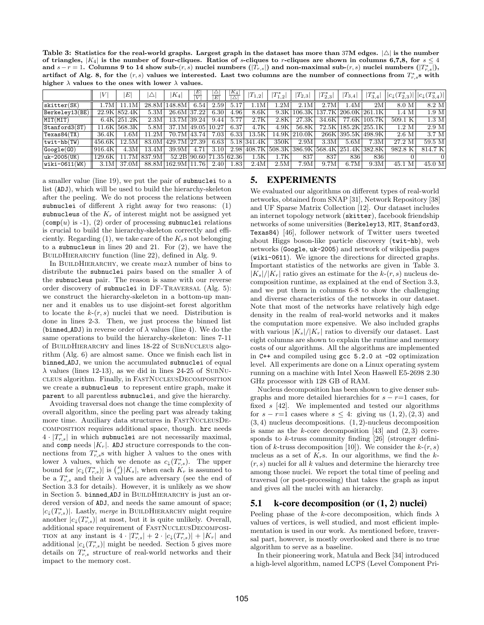Table 3: Statistics for the real-world graphs. Largest graph in the dataset has more than 37M edges.  $|\triangle|$  is the number of triangles,  $|K_4|$  is the number of four-cliques. Ratios of s-cliques to r-cliques are shown in columns 6,7,8, for  $s \leq 4$ and  $s-r=1$ . Columns 9 to 14 show sub- $(r, s)$  nuclei numbers  $(|T_{r,s}|)$  and non-maximal sub- $(r, s)$  nuclei numbers  $(|T_{r,s}|)$ , artifact of Alg. 8, for the  $(r, s)$  values we interested. Last two columns are the number of connections from  $T^*_{r,s}$ s with higher  $\lambda$  values to the ones with lower  $\lambda$  values.

|                   | IV      | E             | Δ      | $K_4$          | E <br>T | $\frac{ \triangle}{ E }$ | $ K_4 $     | $\left T_{1,2}\right $ | $ T^*_{1,2} $ | $ T_{2,3} $                | $ T^*_{2,3} $ | $ T_{3,4} $ | $ T_{3,4}^* $        | $ c_{\downarrow}(T^*_{2,3})    c_{\downarrow}(T^*_{3,4})  $ |                   |
|-------------------|---------|---------------|--------|----------------|---------|--------------------------|-------------|------------------------|---------------|----------------------------|---------------|-------------|----------------------|-------------------------------------------------------------|-------------------|
| skitter(SK)       | .7M     | 11.1M         | 28.8M  | 148.8M         | 6.54    | 2.59                     | 5.17        | 1.1M                   | .2M           | 2.1M                       | 2.7M          | .4M         | $2\overline{M}$      | 8.0 M                                                       | 8.2 M             |
| Berkeley13(BE)    |         | 22.9K 852.4K  | 5.3M   | 26.6M 37.22    |         | 6.30                     | 4.96        | 8.6K                   | 9.3K          | $^{\circ}106.3 \mathrm{K}$ |               |             | 137.7K 206.0K 261.1K | 1.4 M                                                       | 1.9 <sub>M</sub>  |
| MIT(MIT)          |         | $6.4K$ 251.2K | 2.3M   | 13.7M 39.24    |         | 9.44                     | 5.77        | 2.7K                   | 2.8K          | 27.3K                      | 34.6K         | 77.6K       | 105.7K               | 509.1 K                                                     | $1.3\ \mathrm{M}$ |
| Stanford3(ST)     |         | 11.6K 568.3K  | 5.8M   | 37.1M 49.05    |         | 10.27                    | 6.37        | 4.7K                   | 4.9K          | 56.8K                      |               |             | 72.5K 185.2K 255.1K  | 1.2 M                                                       | 2.9 <sub>M</sub>  |
| Texas84(TX)       | 36.4K   | .6M           | 11.2M  | 70.7M          | 43.74   | 7.03                     | 6.33        | $13.5\mathrm{K}$       | 14.9K         | 210.0K                     |               | 266K 395.5K | 498.9K               | 2.6 M                                                       | 3.7 M             |
| $t$ wit-hb $(TW)$ | 456.6K  | 12.5M         | 83.0M  | 429.7M 27.39   |         | 6.63                     |             | 5.18 341.4K            | 350K          | 2.9M                       | 3.3M          | 5.6M        | 7.3M                 | 27.2 M                                                      | 59.5M             |
| Google(G0)        | 1916.4K | 4.3M          | 13.4M  | 39.9M          | 4.71    | 3.10                     | 2.98        | 408.7K                 | 508.3K        | 386.9K                     | 568.4K 251.4K |             | 382.8K               | 982.8 K                                                     | 814.7 K           |
| $uk - 2005(UK)$   | 129.6K  | 11.7M         | 837.9M | 52.2B 90.60    |         |                          | 71.35 62.36 | $1.5\mathrm{K}$        | 1.7K          | 837                        | 837           | 836         | 836                  |                                                             | $\Omega$          |
| $wiki-0611(WK)$   | 3.1M    | 37.0M         |        | 88.8M   162.9M | 11.76   | 2.40                     | 1.83        | 2.4M                   | 2.5M          | 7.9M                       | 9.7M          | 6.7M        | 9.3M                 | M<br>45.1                                                   | 45.0 M            |

a smaller value (line 19), we put the pair of subnuclei to a list (ADJ), which will be used to build the hierarchy-skeleton after the peeling. We do not process the relations between subnuclei of different  $\lambda$  right away for two reasons: (1) subnucleus of the  $K_r$  of interest might not be assigned yet  $(\text{comp}(u)$  is -1), (2) order of processing subnuclei relations is crucial to build the hierarchy-skeleton correctly and efficiently. Regarding  $(1)$ , we take care of the  $K_r$ s not belonging to a subnucleus in lines 20 and 21. For (2), we have the BUILDHIERARCHY function (line 22), defined in Alg. 9.

In BUILDHIERARCHY, we create  $max\lambda$  number of bins to distribute the subnuclei pairs based on the smaller  $\lambda$  of the subnucleus pair. The reason is same with our reverse order discovery of subnuclei in DF-Traversal (Alg. 5): we construct the hierarchy-skeleton in a bottom-up manner and it enables us to use disjoint-set forest algorithm to locate the  $k(r, s)$  nuclei that we need. Distribution is done in lines 2-3. Then, we just process the binned list (binned ADJ) in reverse order of  $\lambda$  values (line 4). We do the same operations to build the hierarchy-skeleton: lines 7-11 of BuildHierarchy and lines 18-22 of SubNucleus algorithm (Alg. 6) are almost same. Once we finish each list in binned ADJ, we union the accumulated subnuclei of equal  $\lambda$  values (lines 12-13), as we did in lines 24-25 of SUBNUcleus algorithm. Finally, in FastNucleusDecomposition we create a subnucleus to represent entire graph, make it parent to all parentless subnuclei, and give the hierarchy.

Avoiding traversal does not change the time complexity of overall algorithm, since the peeling part was already taking more time. Auxiliary data structures in FASTNUCLEUSDEcomposition requires additional space, though. hrc needs  $4 \cdot |T_{r,s}^*|$  in which subnuclei are not necessarily maximal, and comp needs  $|K_r|$ . ADJ structure corresponds to the connections from  $T_{r,s}^*$ s with higher  $\lambda$  values to the ones with lower  $\lambda$  values, which we denote as  $c_{\downarrow}(T^*_{r,s})$ . The upper bound for  $|c_{\downarrow}(T_{r,s}^{*})|$  is  $\binom{s}{r}|K_{s}|$ , when each  $K_{r}$  is assumed to be a  $T_{r,s}^*$  and their  $\lambda$  values are adversary (see the end of Section 3.3 for details). However, it is unlikely as we show in Section 5. binned ADJ in BUILDHIERARCHY is just an ordered version of ADJ, and needs the same amount of space;  $|c_{\downarrow}(T_{r,s}^*)|$ . Lastly, *merge* in BUILDHIERARCHY might require another  $|c_{\downarrow}(T_{r,s}^{*})|$  at most, but it is quite unlikely. Overall, additional space requirement of FastNucleusDecomposi-TION at any instant is  $4 \cdot |T^*_{r,s}| + 2 \cdot |c \downarrow (T^*_{r,s})| + |K_r|$  and additional  $|c_{\downarrow}(T_{r,s}^*)|$  might be needed. Section 5 gives more details on  $T_{r,s}^*$  structure of real-world networks and their impact to the memory cost.

# 5. EXPERIMENTS

We evaluated our algorithms on different types of real-world networks, obtained from SNAP [31], Network Repository [38] and UF Sparse Matrix Collection [12]. Our dataset includes an internet topology network (skitter), facebook friendship networks of some universities (Berkeley13, MIT, Stanford3, Texas84) [46], follower network of Twitter users tweeted about Higgs boson-like particle discovery (twit-hb), web networks (Google, uk-2005) and network of wikipedia pages (wiki-0611). We ignore the directions for directed graphs. Important statistics of the networks are given in Table 3.  $|K_s|/|K_r|$  ratio gives an estimate for the  $k-(r, s)$  nucleus decomposition runtime, as explained at the end of Section 3.3, and we put them in columns 6-8 to show the challenging and diverse characteristics of the networks in our dataset. Note that most of the networks have relatively high edge density in the realm of real-world networks and it makes the computation more expensive. We also included graphs with various  $|K_s|/|K_r|$  ratios to diversify our dataset. Last eight columns are shown to explain the runtime and memory costs of our algorithms. All the algorithms are implemented in C++ and compiled using gcc 5.2.0 at -O2 optimization level. All experiments are done on a Linux operating system running on a machine with Intel Xeon Haswell E5-2698 2.30 GHz processor with 128 GB of RAM.

Nucleus decomposition has been shown to give denser subgraphs and more detailed hierarchies for  $s - r = 1$  cases, for fixed s [42]. We implemented and tested our algorithms for  $s - r=1$  cases where  $s \leq 4$ : giving us  $(1, 2), (2, 3)$  and  $(3, 4)$  nucleus decompositions.  $(1, 2)$ -nucleus decomposition is same as the k-core decomposition [43] and  $(2, 3)$  corresponds to  $k$ -truss community finding [26] (stronger definition of k-truss decomposition [10]). We consider the  $k-(r, s)$ nucleus as a set of  $K_r$ s. In our algorithms, we find the  $k$ - $(r, s)$  nuclei for all k values and determine the hierarchy tree among those nuclei. We report the total time of peeling and traversal (or post-processing) that takes the graph as input and gives all the nuclei with an hierarchy.

# 5.1 k-core decomposition (or (1, 2) nuclei)

Peeling phase of the k-core decomposition, which finds  $\lambda$ values of vertices, is well studied, and most efficient implementation is used in our work. As mentioned before, traversal part, however, is mostly overlooked and there is no true algorithm to serve as a baseline.

In their pioneering work, Matula and Beck [34] introduced a high-level algorithm, named LCPS (Level Component Pri-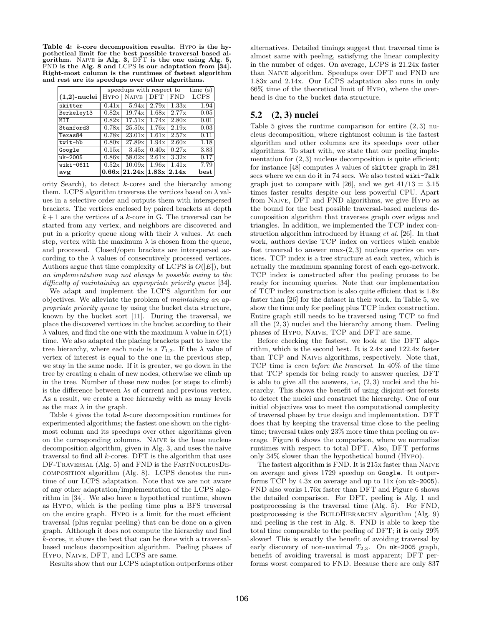Table 4: k-core decomposition results. Hypo is the hypothetical limit for the best possible traversal based algorithm. Naive is Alg. 3, DFT is the one using Alg. 5, FND is the Alg. 8 and LCPS is our adaptation from [34]. Right-most column is the runtimes of fastest algorithm and rest are its speedups over other algorithms.

|                 | speedups with respect to | time(s)      |                     |             |      |
|-----------------|--------------------------|--------------|---------------------|-------------|------|
| $(1,2)$ -nuclei |                          | HYPO   NAIVE | <b>DFT</b>          | <b>FND</b>  | LCPS |
| skitter         | 0.41x                    | 5.94x        | 2.79x               | 1.33x       | 1.94 |
| Berkeley13      | 0.82x                    | 19.74x       | 1.68x               | 2.77x       | 0.05 |
| MIT             | 0.82x                    | 17.51x       | 1.74x               | 2.80x       | 0.01 |
| Stanford3       | 0.78x                    | 25.50x       | 1.76x               | 2.19x       | 0.03 |
| Texas84         | 0.78x                    | 23.01x       | 1.61x               | 2.57x       | 0.11 |
| twit-hb         | 0.80x                    | 27.89x       | 1.94x               | 2.60x       | 1.18 |
| Google          | 0.15x                    | 3.45x        | $\overline{0.40}$ x | 0.27x       | 3.83 |
| uk-2005         | 0.86x                    | 58.02x       | 2.61x               | 3.32x       | 0.17 |
| wiki-0611       | 0.52x                    | 10.09x       | 1.96x               | 1.41x       | 7.79 |
| avg             |                          | 0.66x 21.24x |                     | 1.83x 2.14x | best |

ority Search), to detect k-cores and the hierarchy among them. LCPS algorithm traverses the vertices based on  $\lambda$  values in a selective order and outputs them with interspersed brackets. The vertices enclosed by paired brackets at depth  $k+1$  are the vertices of a  $k\text{-core}$  in G. The traversal can be started from any vertex, and neighbors are discovered and put in a priority queue along with their  $\lambda$  values. At each step, vertex with the maximum  $\lambda$  is chosen from the queue, and processed. Closed/open brackets are interspersed according to the  $\lambda$  values of consecutively processed vertices. Authors argue that time complexity of LCPS is  $O(|E|)$ , but an implementation may not always be possible owing to the difficulty of maintaining an appropriate priority queue [34].

We adapt and implement the LCPS algorithm for our objectives. We alleviate the problem of maintaining an appropriate priority queue by using the bucket data structure, known by the bucket sort [11]. During the traversal, we place the discovered vertices in the bucket according to their  $\lambda$  values, and find the one with the maximum  $\lambda$  value in  $O(1)$ time. We also adapted the placing brackets part to have the tree hierarchy, where each node is a  $T_{1,2}$ . If the  $\lambda$  value of vertex of interest is equal to the one in the previous step, we stay in the same node. If it is greater, we go down in the tree by creating a chain of new nodes, otherwise we climb up in the tree. Number of these new nodes (or steps to climb) is the difference between  $\lambda$ s of current and previous vertex. As a result, we create a tree hierarchy with as many levels as the max  $\lambda$  in the graph.

Table 4 gives the total k-core decomposition runtimes for experimented algorithms; the fastest one shown on the rightmost column and its speedups over other algorithms given on the corresponding columns. Naive is the base nucleus decomposition algorithm, given in Alg. 3, and uses the naive traversal to find all  $k$ -cores. DFT is the algorithm that uses DF-TRAVERSAL (Alg. 5) and FND is the FASTNUCLEUSDEcomposition algorithm (Alg. 8). LCPS denotes the runtime of our LCPS adaptation. Note that we are not aware of any other adaptation/implementation of the LCPS algorithm in [34]. We also have a hypothetical runtime, shown as Hypo, which is the peeling time plus a BFS traversal on the entire graph. Hypo is a limit for the most efficient traversal (plus regular peeling) that can be done on a given graph. Although it does not compute the hierarchy and find k-cores, it shows the best that can be done with a traversalbased nucleus decomposition algorithm. Peeling phases of Hypo, Naive, DFT, and LCPS are same.

Results show that our LCPS adaptation outperforms other

alternatives. Detailed timings suggest that traversal time is almost same with peeling, satisfying the linear complexity in the number of edges. On average, LCPS is 21.24x faster than Naive algorithm. Speedups over DFT and FND are 1.83x and 2.14x. Our LCPS adaptation also runs in only 66% time of the theoretical limit of Hypo, where the overhead is due to the bucket data structure.

# 5.2 (2, 3) nuclei

Table 5 gives the runtime comparison for entire  $(2, 3)$  nucleus decomposition, where rightmost column is the fastest algorithm and other columns are its speedups over other algorithms. To start with, we state that our peeling implementation for  $(2, 3)$  nucleus decomposition is quite efficient; for instance [48] computes  $\lambda$  values of skitter graph in 281 secs where we can do it in 74 secs. We also tested wiki-Talk graph just to compare with [26], and we get  $41/13 = 3.15$ times faster results despite our less powerful CPU. Apart from Naive, DFT and FND algorithms, we give Hypo as the bound for the best possible traversal-based nucleus decomposition algorithm that traverses graph over edges and triangles. In addition, we implemented the TCP index construction algorithm introduced by Huang et al. [26]. In that work, authors devise TCP index on vertices which enable fast traversal to answer max- $(2, 3)$  nucleus queries on vertices. TCP index is a tree structure at each vertex, which is actually the maximum spanning forest of each ego-network. TCP index is constructed after the peeling process to be ready for incoming queries. Note that our implementation of TCP index construction is also quite efficient that is 1.8x faster than [26] for the dataset in their work. In Table 5, we show the time only for peeling plus TCP index construction. Entire graph still needs to be traversed using TCP to find all the (2, 3) nuclei and the hierarchy among them. Peeling phases of Hypo, Naive, TCP and DFT are same.

Before checking the fastest, we look at the DFT algorithm, which is the second best. It is 2.4x and 122.4x faster than TCP and Naive algorithms, respectively. Note that, TCP time is even before the traversal. In 40% of the time that TCP spends for being ready to answer queries, DFT is able to give all the answers, i.e,  $(2,3)$  nuclei and the hierarchy. This shows the benefit of using disjoint-set forests to detect the nuclei and construct the hierarchy. One of our initial objectives was to meet the computational complexity of traversal phase by true design and implementation. DFT does that by keeping the traversal time close to the peeling time; traversal takes only 23% more time than peeling on average. Figure 6 shows the comparison, where we normalize runtimes with respect to total DFT. Also, DFT performs only 34% slower than the hypothetical bound (Hypo).

The fastest algorithm is FND. It is 215x faster than Naive on average and gives 1729 speedup on Google. It outperforms TCP by 4.3x on average and up to 11x (on uk-2005). FND also works 1.76x faster than DFT and Figure 6 shows the detailed comparison. For DFT, peeling is Alg. 1 and postprocessing is the traversal time (Alg. 5). For FND, postprocessing is the BUILDHIERARCHY algorithm (Alg. 9) and peeling is the rest in Alg. 8. FND is able to keep the total time comparable to the peeling of DFT; it is only 29% slower! This is exactly the benefit of avoiding traversal by early discovery of non-maximal  $T_{2,3}$ . On uk-2005 graph, benefit of avoiding traversal is most apparent; DFT performs worst compared to FND. Because there are only 837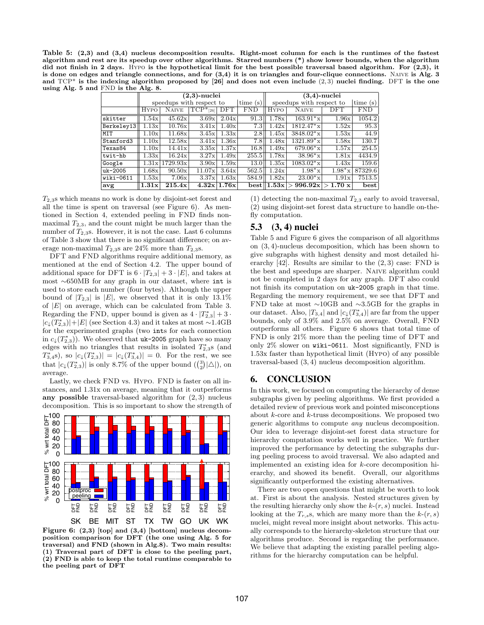Table 5: (2,3) and (3,4) nucleus decomposition results. Right-most column for each is the runtimes of the fastest algorithm and rest are its speedup over other algorithms. Starred numbers (\*) show lower bounds, when the algorithm did not finish in 2 days. Hypo is the hypothetical limit for the best possible traversal based algorithm. For  $(2,3)$ , it is done on edges and triangle connections, and for (3,4) it is on triangles and four-clique connections. Naive is Alg. 3 and  $TCP^*$  is the indexing algorithm proposed by [26] and does not even include  $(2,3)$  nuclei finding. DFT is the one using Alg. 5 and FND is the Alg. 8.

|             | $(2,3)$ -nuclei          |              |                                 |             |            | $(3,4)$ -nuclei          |               |               |            |
|-------------|--------------------------|--------------|---------------------------------|-------------|------------|--------------------------|---------------|---------------|------------|
|             | speedups with respect to |              |                                 |             | time(s)    | speedups with respect to |               |               | time $(s)$ |
|             | Нүро                     | <b>NAIVE</b> | $\overline{\text{TCP*}}_{[26]}$ | $\rm DFT$   | <b>FND</b> | <b>HYPO</b>              | <b>NAIVE</b>  | DFT           | <b>FND</b> |
| skitter     | 1.54x                    | 45.62x       | 3.69x                           | 2.04x       | 91.3       | 1.78x                    | $163.91*$ x   | 1.96x         | 1054.2     |
| Berkeley13  | 1.13x                    | 10.76x       | 3.41x                           | 1.40x       | 7.3        | 1.42x                    | $1812.47*$ x  | 1.52x         | 95.3       |
| MIT         | 1.10x                    | 11.68x       | 3.45x                           | 1.33x       | 2.8        | 1.45x                    | $3848.02^*$ x | 1.53x         | 44.9       |
| Stanford3   | 1.10x                    | 12.58x       | 3.41x                           | 1.36x       | 7.8        | 1.48x                    | $1321.89*$ x  | 1.58x         | 130.7      |
| Texas84     | 1.10x                    | 14.41x       | 3.35x                           | 1.37x       | 16.8       | 1.49x                    | $679.06*$ x   | 1.57x         | 254.5      |
| twit-hb     | 1.33x                    | 16.24x       | 3.27x                           | 1.49x       | 255.5      | 1.78x                    | $38.96*$ x    | 1.81x         | 4434.9     |
| Google      | 1.31x                    | 1729.93x     | 3.90x                           | 1.59x       | 13.0       | 1.35x                    | $1083.02^*$ x | 1.43x         | 159.6      |
| $uk - 2005$ | 1.68x                    | 90.50x       | 11.07x                          | 3.64x       | 562.5      | 1.24x                    | $1.98*$ x     | $1.98*$ x     | 87329.6    |
| wiki-0611   | 1.53x                    | 7.06x        | 3.37x                           | 1.63x       | 584.9      | 1.82x                    | $23.00*$ x    | 1.91x         | 7513.5     |
| avg         | 1.31x                    | 215.4x       |                                 | 4.32x 1.76x | best       | 1.53x                    | 996.92x       | $1.70 \times$ | best       |

 $T_{2,3}$ s which means no work is done by disjoint-set forest and all the time is spent on traversal (see Figure 6). As mentioned in Section 4, extended peeling in FND finds nonmaximal  $T_{2,3}$ , and the count might be much larger than the number of  $T_{2,3}$ s. However, it is not the case. Last 6 columns of Table 3 show that there is no significant difference; on average non-maximal  $T_{2,3}$ s are 24% more than  $T_{2,3}$ s.

DFT and FND algorithms require additional memory, as mentioned at the end of Section 4.2. The upper bound of additional space for DFT is  $6 \cdot |T_{2,3}| + 3 \cdot |E|$ , and takes at most ∼650MB for any graph in our dataset, where int is used to store each number (four bytes). Although the upper bound of  $|T_{2,3}|$  is  $|E|$ , we observed that it is only 13.1% of  $|E|$  on average, which can be calculated from Table 3. Regarding the FND, upper bound is given as  $4 \cdot |T^*_{2,3}| + 3 \cdot$  $|c_{\downarrow}(T_{2,3}^*)| + |E|$  (see Section 4.3) and it takes at most ~1.4GB for the experimented graphs (two ints for each connection in  $c_{\downarrow}(T_{2,3}^*)$ ). We observed that uk-2005 graph have so many edges with no triangles that results in isolated  $T_{2,3}^*$  (and  $T_{3,4}^{*}$ s), so  $|c_{\downarrow}(T_{2,3}^{*})| = |c_{\downarrow}(T_{3,4}^{*})| = 0$ . For the rest, we see that  $|c_{\downarrow}(T_{2,3}^*)|$  is only 8.7% of the upper bound  $\binom{3}{2}|\triangle|$ , on average.

Lastly, we check FND vs. Hypo. FND is faster on all instances, and 1.31x on average, meaning that it outperforms any possible traversal-based algorithm for  $(2, 3)$  nucleus decomposition. This is so important to show the strength of



Figure 6: (2,3) [top] and (3,4) [bottom] nucleus decomposition comparison for DFT (the one using Alg. 5 for traversal) and FND (shown in Alg.8). Two main results: (1) Traversal part of DFT is close to the peeling part, (2) FND is able to keep the total runtime comparable to the peeling part of DFT

(1) detecting the non-maximal  $T_{2,3}$  early to avoid traversal, (2) using disjoint-set forest data structure to handle on-thefly computation.

# 5.3 (3, 4) nuclei

Table 5 and Figure 6 gives the comparison of all algorithms on (3, 4)-nucleus decomposition, which has been shown to give subgraphs with highest density and most detailed hierarchy  $[42]$ . Results are similar to the  $(2, 3)$  case: FND is the best and speedups are sharper. Naive algorithm could not be completed in 2 days for any graph. DFT also could not finish its computation on uk-2005 graph in that time. Regarding the memory requirement, we see that DFT and FND take at most ∼10GB and ∼3.5GB for the graphs in our dataset. Also,  $|T_{3,4}|$  and  $|c_{\downarrow}(T_{3,4}^*)|$  are far from the upper bounds, only of 3.9% and 2.5% on average. Overall, FND outperforms all others. Figure 6 shows that total time of FND is only 21% more than the peeling time of DFT and only 2% slower on wiki-0611. Most significantly, FND is 1.53x faster than hypothetical limit (Hypo) of any possible traversal-based (3, 4) nucleus decomposition algorithm.

# 6. CONCLUSION

In this work, we focused on computing the hierarchy of dense subgraphs given by peeling algorithms. We first provided a detailed review of previous work and pointed misconceptions about k-core and k-truss decompositions. We proposed two generic algorithms to compute any nucleus decomposition. Our idea to leverage disjoint-set forest data structure for hierarchy computation works well in practice. We further improved the performance by detecting the subgraphs during peeling process to avoid traversal. We also adapted and implemented an existing idea for k-core decomposition hierarchy, and showed its benefit. Overall, our algorithms significantly outperformed the existing alternatives.

There are two open questions that might be worth to look at. First is about the analysis. Nested structures given by the resulting hierarchy only show the  $k-(r, s)$  nuclei. Instead looking at the  $T_{r,s}$ , which are many more than the  $k(r, s)$ nuclei, might reveal more insight about networks. This actually corresponds to the hierarchy-skeleton structure that our algorithms produce. Second is regarding the performance. We believe that adapting the existing parallel peeling algorithms for the hierarchy computation can be helpful.